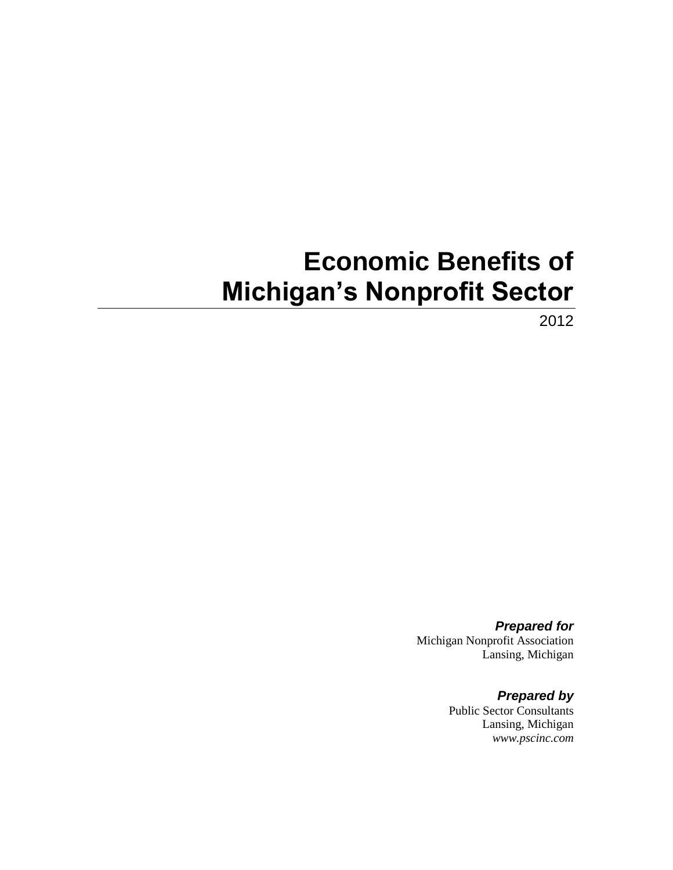# **Economic Benefits of Michigan's Nonprofit Sector**

2012

*Prepared for* Michigan Nonprofit Association Lansing, Michigan

> *Prepared by* Public Sector Consultants Lansing, Michigan *www.pscinc.com*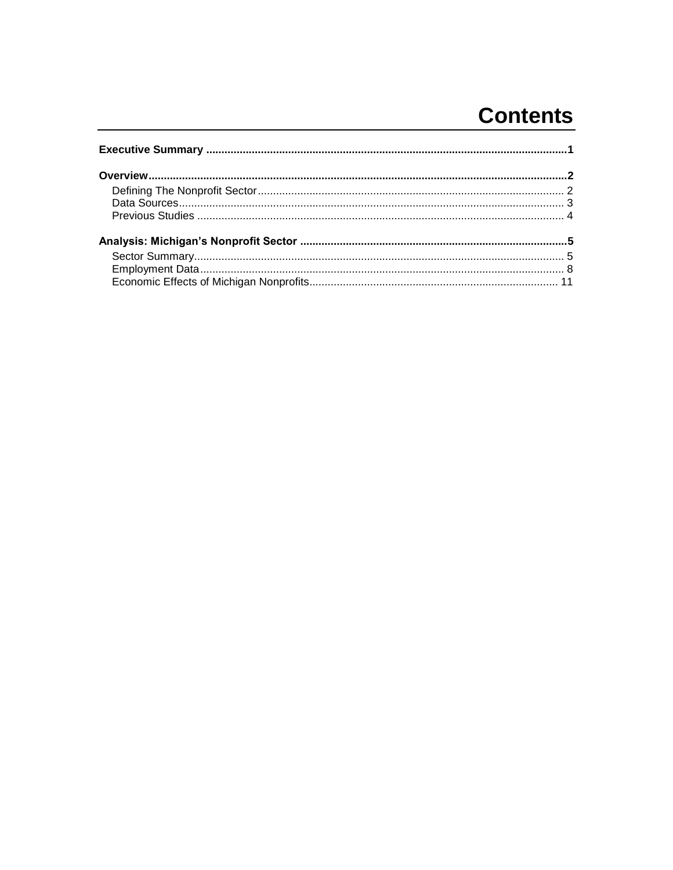# **Contents**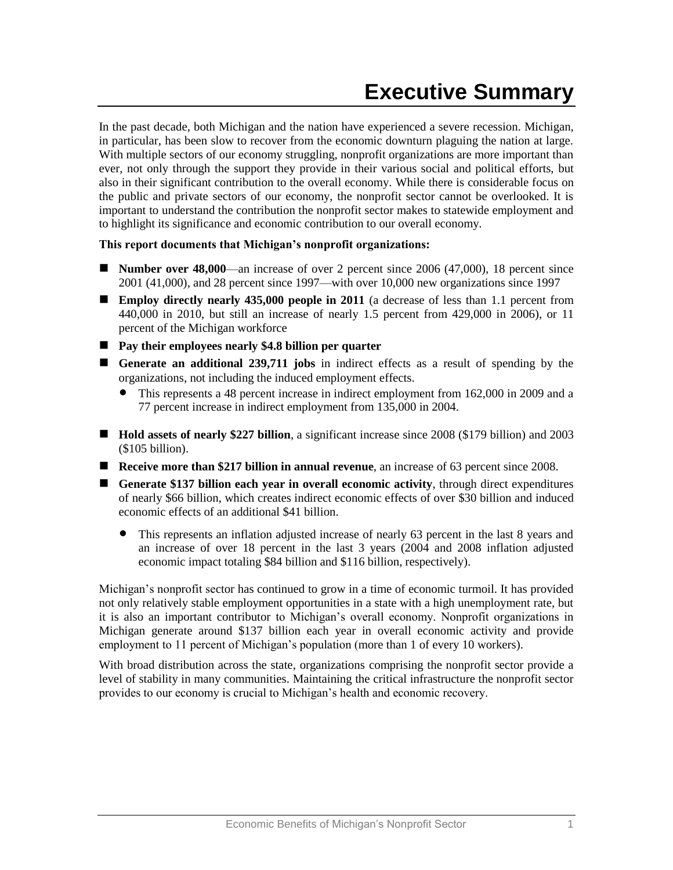<span id="page-2-0"></span>In the past decade, both Michigan and the nation have experienced a severe recession. Michigan, in particular, has been slow to recover from the economic downturn plaguing the nation at large. With multiple sectors of our economy struggling, nonprofit organizations are more important than ever, not only through the support they provide in their various social and political efforts, but also in their significant contribution to the overall economy. While there is considerable focus on the public and private sectors of our economy, the nonprofit sector cannot be overlooked. It is important to understand the contribution the nonprofit sector makes to statewide employment and to highlight its significance and economic contribution to our overall economy.

#### **This report documents that Michigan's nonprofit organizations:**

- **Number over 48,000—an** increase of over 2 percent since 2006 (47,000), 18 percent since 2001 (41,000), and 28 percent since 1997—with over 10,000 new organizations since 1997
- **Employ directly nearly 435,000 people in 2011** (a decrease of less than 1.1 percent from 440,000 in 2010, but still an increase of nearly 1.5 percent from 429,000 in 2006), or 11 percent of the Michigan workforce
- **Pay their employees nearly \$4.8 billion per quarter**
- **Generate an additional 239,711 jobs** in indirect effects as a result of spending by the organizations, not including the induced employment effects.
	- This represents a 48 percent increase in indirect employment from 162,000 in 2009 and a 77 percent increase in indirect employment from 135,000 in 2004.
- Hold assets of nearly \$227 billion, a significant increase since 2008 (\$179 billion) and 2003 (\$105 billion).
- **Receive more than \$217 billion in annual revenue**, an increase of 63 percent since 2008.
- **Generate \$137 billion each year in overall economic activity**, through direct expenditures of nearly \$66 billion, which creates indirect economic effects of over \$30 billion and induced economic effects of an additional \$41 billion.
	- This represents an inflation adjusted increase of nearly 63 percent in the last 8 years and an increase of over 18 percent in the last 3 years (2004 and 2008 inflation adjusted economic impact totaling \$84 billion and \$116 billion, respectively).

Michigan's nonprofit sector has continued to grow in a time of economic turmoil. It has provided not only relatively stable employment opportunities in a state with a high unemployment rate, but it is also an important contributor to Michigan's overall economy. Nonprofit organizations in Michigan generate around \$137 billion each year in overall economic activity and provide employment to 11 percent of Michigan's population (more than 1 of every 10 workers).

With broad distribution across the state, organizations comprising the nonprofit sector provide a level of stability in many communities. Maintaining the critical infrastructure the nonprofit sector provides to our economy is crucial to Michigan's health and economic recovery.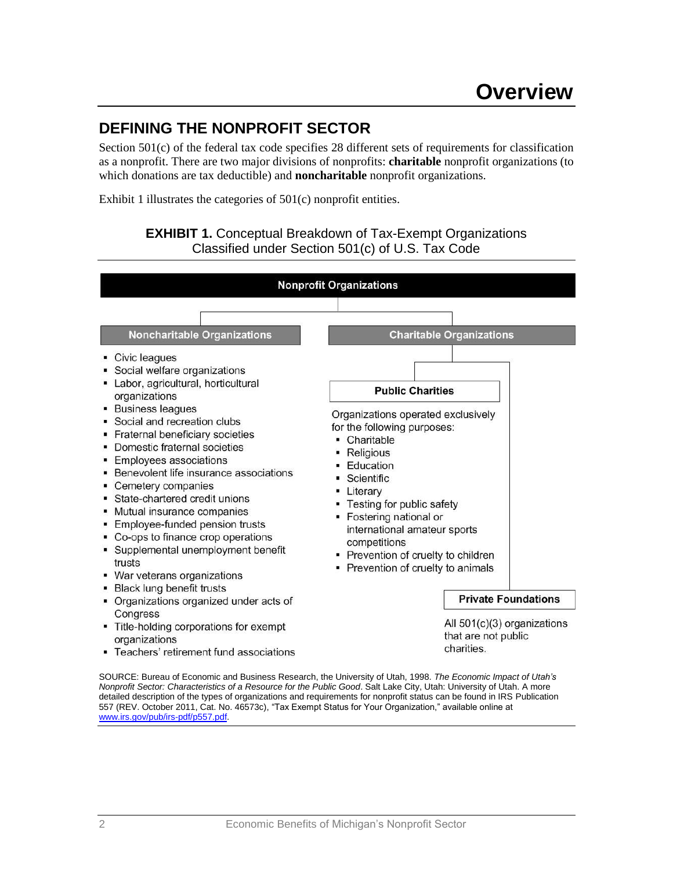# <span id="page-3-1"></span><span id="page-3-0"></span>**DEFINING THE NONPROFIT SECTOR**

Section 501(c) of the federal tax code specifies 28 different sets of requirements for classification as a nonprofit. There are two major divisions of nonprofits: **charitable** nonprofit organizations (to which donations are tax deductible) and **noncharitable** nonprofit organizations.

Exhibit 1 illustrates the categories of 501(c) nonprofit entities.



SOURCE: Bureau of Economic and Business Research, the University of Utah, 1998. *The Economic Impact of Utah's Nonprofit Sector: Characteristics of a Resource for the Public Good*. Salt Lake City, Utah: University of Utah. A more detailed description of the types of organizations and requirements for nonprofit status can be found in IRS Publication 557 (REV. October 2011, Cat. No. 46573c), "Tax Exempt Status for Your Organization," available online at [www.irs.gov/pub/irs-pdf/p557.pdf.](file://boston/shared/jwilliams/MI%20Nonprofit%20Association/2012%20econ%20impact/2012%20Report/www.irs.gov/pub/irs-pdf/p557.pdf)

# **EXHIBIT 1.** Conceptual Breakdown of Tax-Exempt Organizations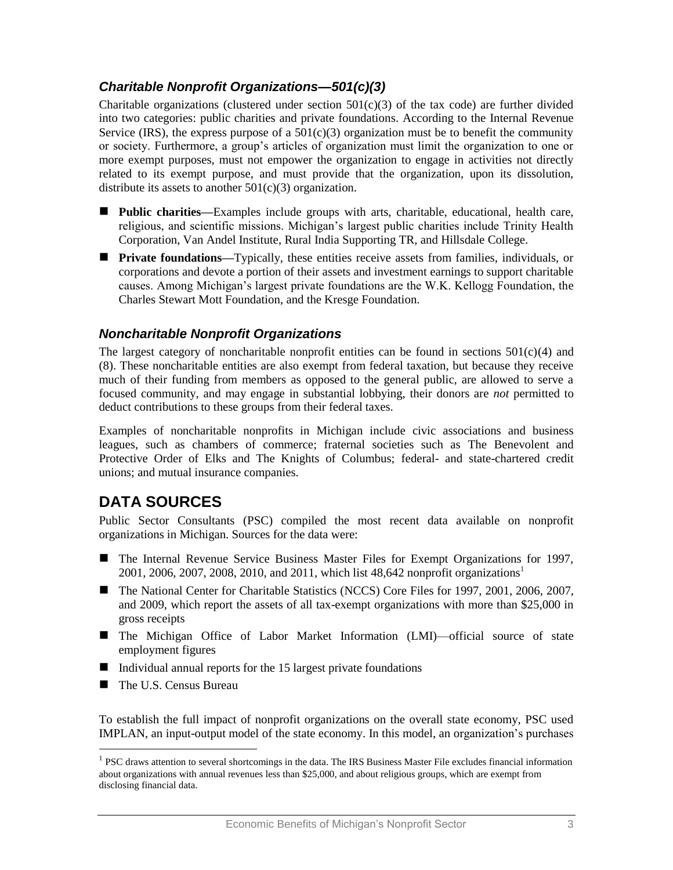## *Charitable Nonprofit Organizations—501(c)(3)*

Charitable organizations (clustered under section  $501(c)(3)$  of the tax code) are further divided into two categories: public charities and private foundations. According to the Internal Revenue Service (IRS), the express purpose of a  $501(c)(3)$  organization must be to benefit the community or society. Furthermore, a group's articles of organization must limit the organization to one or more exempt purposes, must not empower the organization to engage in activities not directly related to its exempt purpose, and must provide that the organization, upon its dissolution, distribute its assets to another  $501(c)(3)$  organization.

- **Public charities—Examples include groups with arts, charitable, educational, health care,** religious, and scientific missions. Michigan's largest public charities include Trinity Health Corporation, Van Andel Institute, Rural India Supporting TR, and Hillsdale College.
- **Private foundations—**Typically, these entities receive assets from families, individuals, or corporations and devote a portion of their assets and investment earnings to support charitable causes. Among Michigan's largest private foundations are the W.K. Kellogg Foundation, the Charles Stewart Mott Foundation, and the Kresge Foundation.

#### *Noncharitable Nonprofit Organizations*

The largest category of noncharitable nonprofit entities can be found in sections  $501(c)(4)$  and (8). These noncharitable entities are also exempt from federal taxation, but because they receive much of their funding from members as opposed to the general public, are allowed to serve a focused community, and may engage in substantial lobbying, their donors are *not* permitted to deduct contributions to these groups from their federal taxes.

Examples of noncharitable nonprofits in Michigan include civic associations and business leagues, such as chambers of commerce; fraternal societies such as The Benevolent and Protective Order of Elks and The Knights of Columbus; federal- and state-chartered credit unions; and mutual insurance companies.

# <span id="page-4-0"></span>**DATA SOURCES**

Public Sector Consultants (PSC) compiled the most recent data available on nonprofit organizations in Michigan. Sources for the data were:

- The Internal Revenue Service Business Master Files for Exempt Organizations for 1997, 2001, 2006, 2007, 2008, 2010, and 2011, which list 48,642 nonprofit organizations<sup>1</sup>
- The National Center for Charitable Statistics (NCCS) Core Files for 1997, 2001, 2006, 2007, and 2009, which report the assets of all tax-exempt organizations with more than \$25,000 in gross receipts
- The Michigan Office of Labor Market Information (LMI)—official source of state employment figures
- Individual annual reports for the  $15$  largest private foundations
- The U.S. Census Bureau

 $\overline{a}$ 

To establish the full impact of nonprofit organizations on the overall state economy, PSC used IMPLAN, an input-output model of the state economy. In this model, an organization's purchases

<sup>&</sup>lt;sup>1</sup> PSC draws attention to several shortcomings in the data. The IRS Business Master File excludes financial information about organizations with annual revenues less than \$25,000, and about religious groups, which are exempt from disclosing financial data.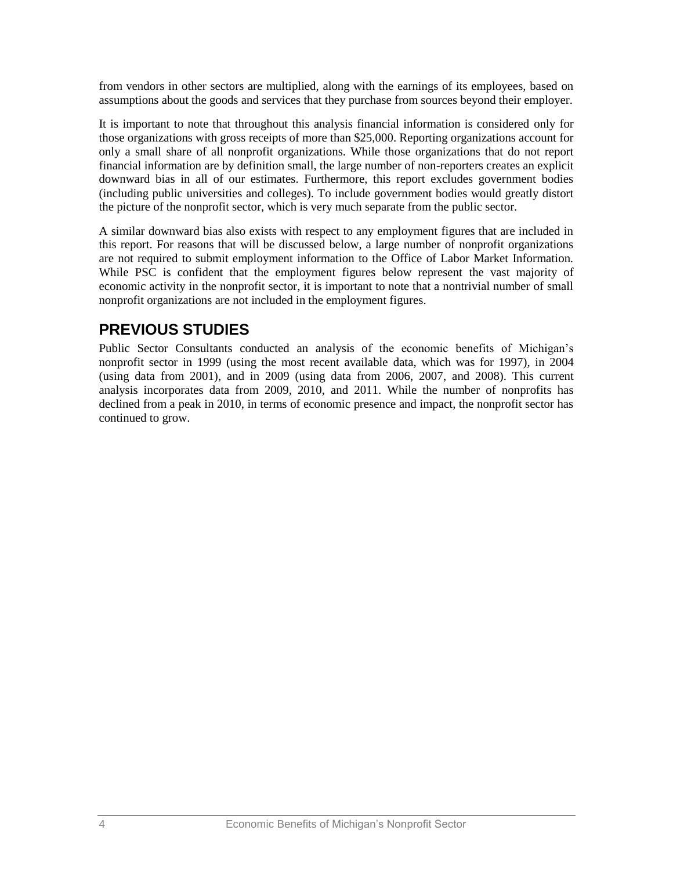from vendors in other sectors are multiplied, along with the earnings of its employees, based on assumptions about the goods and services that they purchase from sources beyond their employer.

It is important to note that throughout this analysis financial information is considered only for those organizations with gross receipts of more than \$25,000. Reporting organizations account for only a small share of all nonprofit organizations. While those organizations that do not report financial information are by definition small, the large number of non-reporters creates an explicit downward bias in all of our estimates. Furthermore, this report excludes government bodies (including public universities and colleges). To include government bodies would greatly distort the picture of the nonprofit sector, which is very much separate from the public sector.

A similar downward bias also exists with respect to any employment figures that are included in this report. For reasons that will be discussed below, a large number of nonprofit organizations are not required to submit employment information to the Office of Labor Market Information. While PSC is confident that the employment figures below represent the vast majority of economic activity in the nonprofit sector, it is important to note that a nontrivial number of small nonprofit organizations are not included in the employment figures.

# <span id="page-5-0"></span>**PREVIOUS STUDIES**

Public Sector Consultants conducted an analysis of the economic benefits of Michigan's nonprofit sector in 1999 (using the most recent available data, which was for 1997), in 2004 (using data from 2001), and in 2009 (using data from 2006, 2007, and 2008). This current analysis incorporates data from 2009, 2010, and 2011. While the number of nonprofits has declined from a peak in 2010, in terms of economic presence and impact, the nonprofit sector has continued to grow.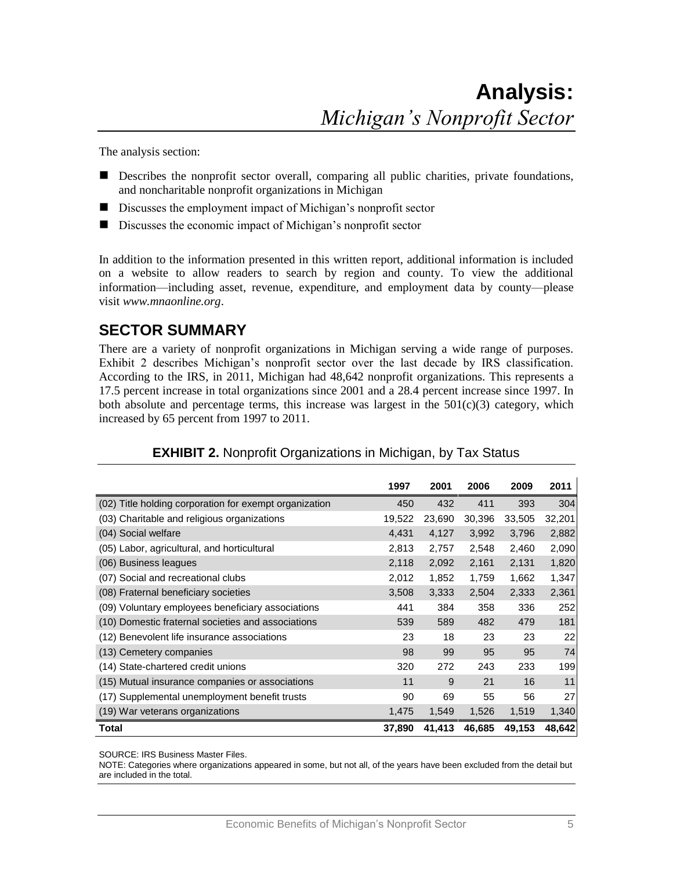<span id="page-6-0"></span>The analysis section:

- Describes the nonprofit sector overall, comparing all public charities, private foundations, and noncharitable nonprofit organizations in Michigan
- Discusses the employment impact of Michigan's nonprofit sector
- Discusses the economic impact of Michigan's nonprofit sector

In addition to the information presented in this written report, additional information is included on a website to allow readers to search by region and county. To view the additional information—including asset, revenue, expenditure, and employment data by county—please visit *www.mnaonline.org*.

# <span id="page-6-1"></span>**SECTOR SUMMARY**

There are a variety of nonprofit organizations in Michigan serving a wide range of purposes. Exhibit 2 describes Michigan's nonprofit sector over the last decade by IRS classification. According to the IRS, in 2011, Michigan had 48,642 nonprofit organizations. This represents a 17.5 percent increase in total organizations since 2001 and a 28.4 percent increase since 1997. In both absolute and percentage terms, this increase was largest in the  $501(c)(3)$  category, which increased by 65 percent from 1997 to 2011.

|                                                        | 1997   | 2001   | 2006   | 2009   | 2011   |
|--------------------------------------------------------|--------|--------|--------|--------|--------|
| (02) Title holding corporation for exempt organization | 450    | 432    | 411    | 393    | 304    |
| (03) Charitable and religious organizations            | 19,522 | 23,690 | 30,396 | 33,505 | 32,201 |
| (04) Social welfare                                    | 4,431  | 4,127  | 3,992  | 3,796  | 2,882  |
| (05) Labor, agricultural, and horticultural            | 2,813  | 2,757  | 2,548  | 2,460  | 2,090  |
| (06) Business leagues                                  | 2,118  | 2,092  | 2,161  | 2,131  | 1,820  |
| (07) Social and recreational clubs                     | 2,012  | 1,852  | 1,759  | 1,662  | 1,347  |
| (08) Fraternal beneficiary societies                   | 3,508  | 3,333  | 2,504  | 2,333  | 2,361  |
| (09) Voluntary employees beneficiary associations      | 441    | 384    | 358    | 336    | 252    |
| (10) Domestic fraternal societies and associations     | 539    | 589    | 482    | 479    | 181    |
| (12) Benevolent life insurance associations            | 23     | 18     | 23     | 23     | 22     |
| (13) Cemetery companies                                | 98     | 99     | 95     | 95     | 74     |
| (14) State-chartered credit unions                     | 320    | 272    | 243    | 233    | 199    |
| (15) Mutual insurance companies or associations        | 11     | 9      | 21     | 16     | 11     |
| (17) Supplemental unemployment benefit trusts          | 90     | 69     | 55     | 56     | 27     |
| (19) War veterans organizations                        | 1,475  | 1,549  | 1,526  | 1,519  | 1,340  |
| Total                                                  | 37,890 | 41,413 | 46,685 | 49.153 | 48,642 |

#### **EXHIBIT 2.** Nonprofit Organizations in Michigan, by Tax Status

SOURCE: IRS Business Master Files.

NOTE: Categories where organizations appeared in some, but not all, of the years have been excluded from the detail but are included in the total.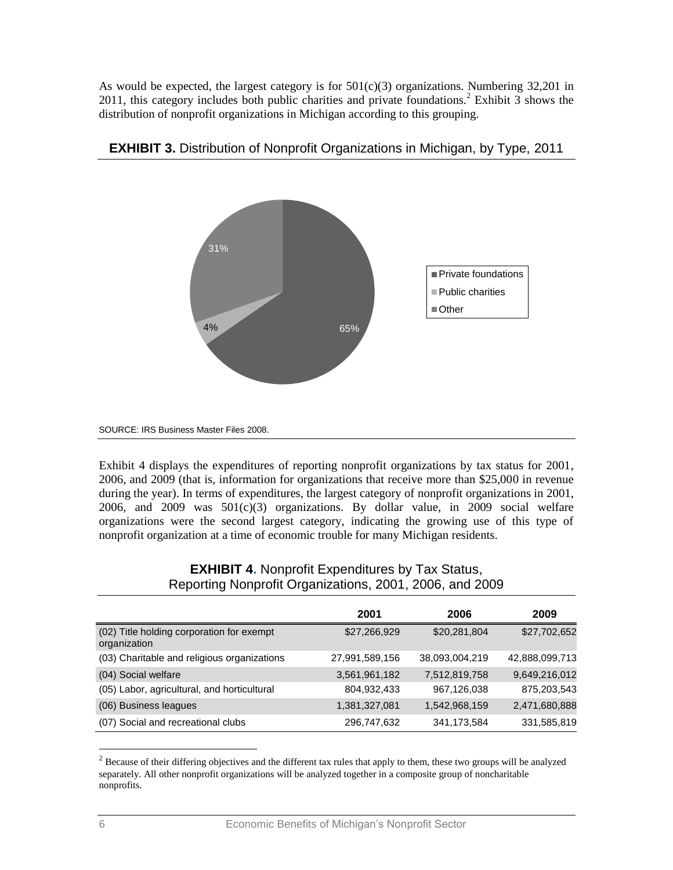As would be expected, the largest category is for  $501(c)(3)$  organizations. Numbering 32,201 in 2011, this category includes both public charities and private foundations.<sup>2</sup> Exhibit  $\overline{3}$  shows the distribution of nonprofit organizations in Michigan according to this grouping.



**EXHIBIT 3.** Distribution of Nonprofit Organizations in Michigan, by Type, 2011

Exhibit 4 displays the expenditures of reporting nonprofit organizations by tax status for 2001, 2006, and 2009 (that is, information for organizations that receive more than \$25,000 in revenue during the year). In terms of expenditures, the largest category of nonprofit organizations in 2001, 2006, and 2009 was  $501(c)(3)$  organizations. By dollar value, in 2009 social welfare organizations were the second largest category, indicating the growing use of this type of nonprofit organization at a time of economic trouble for many Michigan residents.

|                                                           | 2001           | 2006           | 2009           |
|-----------------------------------------------------------|----------------|----------------|----------------|
| (02) Title holding corporation for exempt<br>organization | \$27,266,929   | \$20,281,804   | \$27,702,652   |
| (03) Charitable and religious organizations               | 27,991,589,156 | 38,093,004,219 | 42,888,099,713 |
| (04) Social welfare                                       | 3,561,961,182  | 7,512,819,758  | 9,649,216,012  |
| (05) Labor, agricultural, and horticultural               | 804,932,433    | 967,126,038    | 875,203,543    |
| (06) Business leagues                                     | 1,381,327,081  | 1,542,968,159  | 2,471,680,888  |
| (07) Social and recreational clubs                        | 296,747,632    | 341, 173, 584  | 331,585,819    |

#### **EXHIBIT 4.** Nonprofit Expenditures by Tax Status, Reporting Nonprofit Organizations, 2001, 2006, and 2009

 $\overline{a}$ 

SOURCE: IRS Business Master Files 2008.

 $2^{2}$  Because of their differing objectives and the different tax rules that apply to them, these two groups will be analyzed separately. All other nonprofit organizations will be analyzed together in a composite group of noncharitable nonprofits.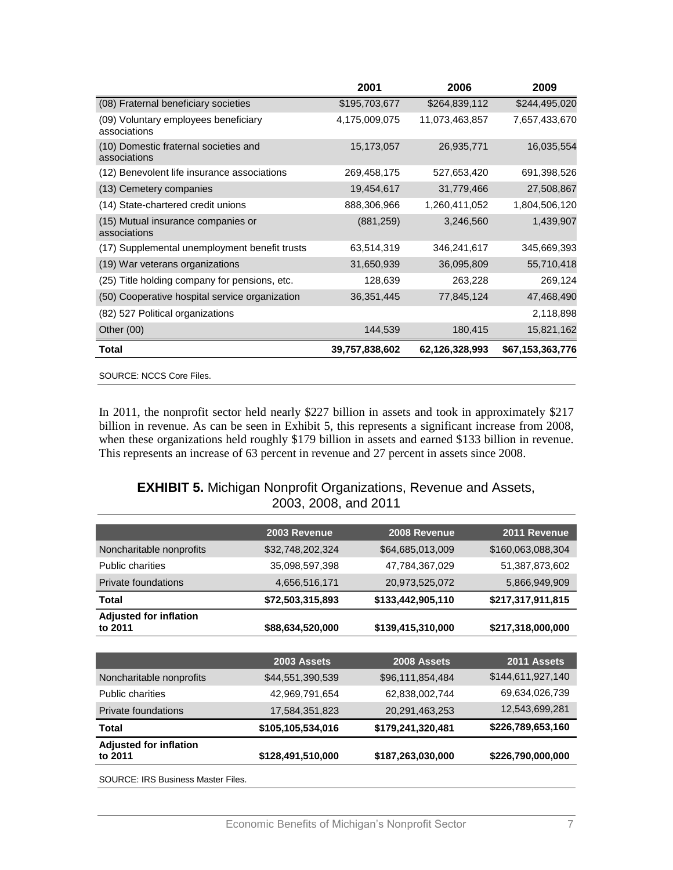|                                                       | 2001           | 2006           | 2009             |
|-------------------------------------------------------|----------------|----------------|------------------|
| (08) Fraternal beneficiary societies                  | \$195,703,677  | \$264,839,112  | \$244,495,020    |
| (09) Voluntary employees beneficiary<br>associations  | 4,175,009,075  | 11,073,463,857 | 7,657,433,670    |
| (10) Domestic fraternal societies and<br>associations | 15,173,057     | 26,935,771     | 16,035,554       |
| (12) Benevolent life insurance associations           | 269,458,175    | 527,653,420    | 691,398,526      |
| (13) Cemetery companies                               | 19,454,617     | 31,779,466     | 27,508,867       |
| (14) State-chartered credit unions                    | 888,306,966    | 1,260,411,052  | 1,804,506,120    |
| (15) Mutual insurance companies or<br>associations    | (881, 259)     | 3,246,560      | 1,439,907        |
| (17) Supplemental unemployment benefit trusts         | 63,514,319     | 346,241,617    | 345,669,393      |
| (19) War veterans organizations                       | 31,650,939     | 36,095,809     | 55,710,418       |
| (25) Title holding company for pensions, etc.         | 128,639        | 263,228        | 269,124          |
| (50) Cooperative hospital service organization        | 36,351,445     | 77,845,124     | 47,468,490       |
| (82) 527 Political organizations                      |                |                | 2,118,898        |
| Other $(00)$                                          | 144,539        | 180,415        | 15,821,162       |
| <b>Total</b>                                          | 39,757,838,602 | 62,126,328,993 | \$67,153,363,776 |
| SOURCE: NCCS Core Files.                              |                |                |                  |

In 2011, the nonprofit sector held nearly \$227 billion in assets and took in approximately \$217 billion in revenue. As can be seen in Exhibit 5, this represents a significant increase from 2008, when these organizations held roughly \$179 billion in assets and earned \$133 billion in revenue. This represents an increase of 63 percent in revenue and 27 percent in assets since 2008.

#### **EXHIBIT 5.** Michigan Nonprofit Organizations, Revenue and Assets, 2003, 2008, and 2011

|                                          | 2003 Revenue      | 2008 Revenue      | 2011 Revenue      |
|------------------------------------------|-------------------|-------------------|-------------------|
| Noncharitable nonprofits                 | \$32,748,202,324  | \$64,685,013,009  | \$160,063,088,304 |
| <b>Public charities</b>                  | 35,098,597,398    | 47,784,367,029    | 51,387,873,602    |
| Private foundations                      | 4,656,516,171     | 20,973,525,072    | 5,866,949,909     |
| Total                                    | \$72,503,315,893  | \$133,442,905,110 | \$217,317,911,815 |
| <b>Adjusted for inflation</b><br>to 2011 | \$88,634,520,000  | \$139,415,310,000 | \$217,318,000,000 |
|                                          |                   |                   |                   |
|                                          | 2003 Assets       | 2008 Assets       | 2011 Assets       |
| Noncharitable nonprofits                 | \$44,551,390,539  | \$96,111,854,484  | \$144,611,927,140 |
| <b>Public charities</b>                  | 42,969,791,654    | 62,838,002,744    | 69,634,026,739    |
| Private foundations                      | 17,584,351,823    | 20,291,463,253    | 12,543,699,281    |
| <b>Total</b>                             | \$105,105,534,016 | \$179,241,320,481 | \$226,789,653,160 |
| <b>Adjusted for inflation</b><br>to 2011 | \$128,491,510,000 | \$187,263,030,000 | \$226,790,000,000 |
| SOURCE: IRS Business Master Files.       |                   |                   |                   |

Economic Benefits of Michigan's Nonprofit Sector 7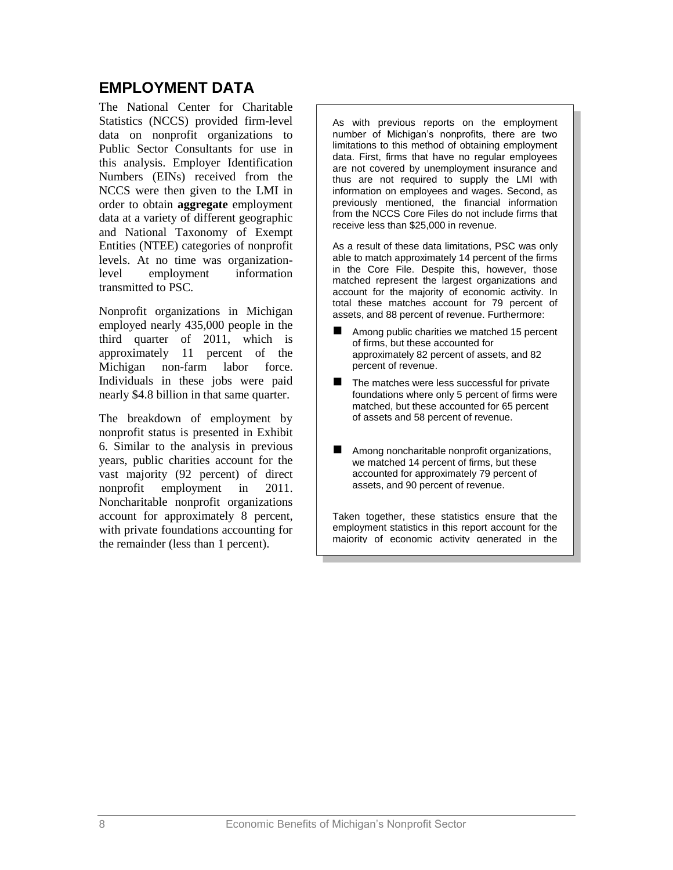## <span id="page-9-0"></span>**EMPLOYMENT DATA**

The National Center for Charitable Statistics (NCCS) provided firm-level data on nonprofit organizations to Public Sector Consultants for use in this analysis. Employer Identification Numbers (EINs) received from the NCCS were then given to the LMI in order to obtain **aggregate** employment data at a variety of different geographic and National Taxonomy of Exempt Entities (NTEE) categories of nonprofit levels. At no time was organizationlevel employment information transmitted to PSC.

Nonprofit organizations in Michigan employed nearly 435,000 people in the third quarter of 2011, which is approximately 11 percent of the Michigan non-farm labor force. Individuals in these jobs were paid nearly \$4.8 billion in that same quarter.

The breakdown of employment by nonprofit status is presented in Exhibit 6. Similar to the analysis in previous years, public charities account for the vast majority (92 percent) of direct nonprofit employment in 2011. Noncharitable nonprofit organizations account for approximately 8 percent, with private foundations accounting for the remainder (less than 1 percent).

As with previous reports on the employment number of Michigan's nonprofits, there are two limitations to this method of obtaining employment data. First, firms that have no regular employees are not covered by unemployment insurance and thus are not required to supply the LMI with information on employees and wages. Second, as previously mentioned, the financial information from the NCCS Core Files do not include firms that receive less than \$25,000 in revenue.

As a result of these data limitations, PSC was only able to match approximately 14 percent of the firms in the Core File. Despite this, however, those matched represent the largest organizations and account for the majority of economic activity. In total these matches account for 79 percent of assets, and 88 percent of revenue. Furthermore:

- Among public charities we matched 15 percent of firms, but these accounted for approximately 82 percent of assets, and 82 percent of revenue.
- The matches were less successful for private foundations where only 5 percent of firms were matched, but these accounted for 65 percent of assets and 58 percent of revenue.
- **Among noncharitable nonprofit organizations,** we matched 14 percent of firms, but these accounted for approximately 79 percent of assets, and 90 percent of revenue.

Taken together, these statistics ensure that the employment statistics in this report account for the majority of economic activity generated in the

nonprofit sector.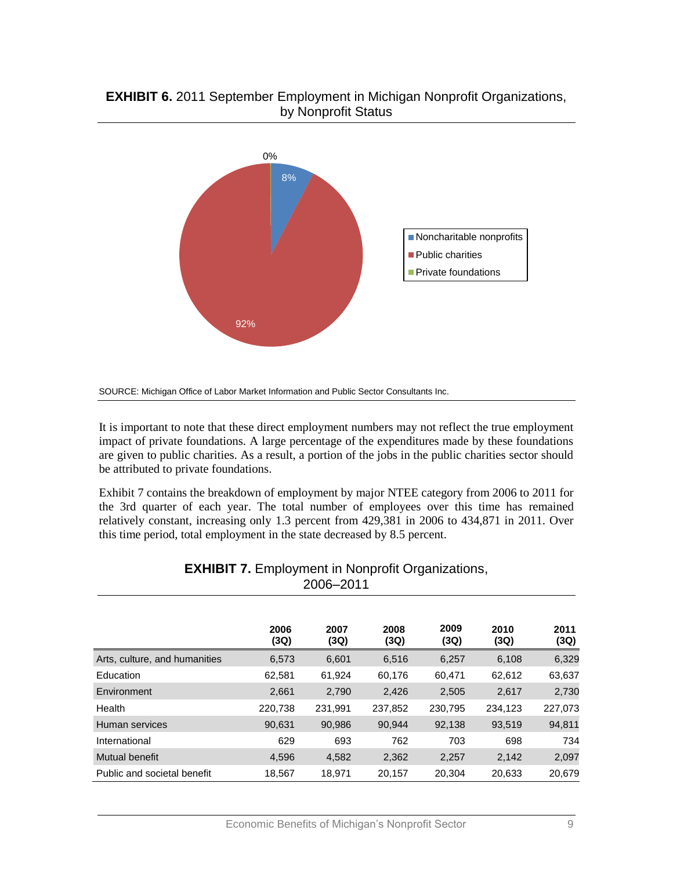#### **EXHIBIT 6.** 2011 September Employment in Michigan Nonprofit Organizations, by Nonprofit Status



SOURCE: Michigan Office of Labor Market Information and Public Sector Consultants Inc.

It is important to note that these direct employment numbers may not reflect the true employment impact of private foundations. A large percentage of the expenditures made by these foundations are given to public charities. As a result, a portion of the jobs in the public charities sector should be attributed to private foundations.

Exhibit 7 contains the breakdown of employment by major NTEE category from 2006 to 2011 for the 3rd quarter of each year. The total number of employees over this time has remained relatively constant, increasing only 1.3 percent from 429,381 in 2006 to 434,871 in 2011. Over this time period, total employment in the state decreased by 8.5 percent.

| 2006–2011                     |              |              |              |              |              |              |
|-------------------------------|--------------|--------------|--------------|--------------|--------------|--------------|
|                               | 2006<br>(3Q) | 2007<br>(3Q) | 2008<br>(3Q) | 2009<br>(3Q) | 2010<br>(3Q) | 2011<br>(3Q) |
| Arts, culture, and humanities | 6,573        | 6,601        | 6,516        | 6,257        | 6,108        | 6,329        |
| Education                     | 62,581       | 61,924       | 60,176       | 60,471       | 62,612       | 63,637       |
| Environment                   | 2,661        | 2,790        | 2,426        | 2,505        | 2,617        | 2,730        |
| Health                        | 220,738      | 231,991      | 237,852      | 230,795      | 234,123      | 227,073      |
| Human services                | 90,631       | 90,986       | 90,944       | 92,138       | 93,519       | 94,811       |
| International                 | 629          | 693          | 762          | 703          | 698          | 734          |
| <b>Mutual benefit</b>         | 4,596        | 4,582        | 2,362        | 2,257        | 2,142        | 2,097        |
| Public and societal benefit   | 18,567       | 18,971       | 20,157       | 20,304       | 20,633       | 20,679       |

| <b>EXHIBIT 7. Employment in Nonprofit Organizations,</b> |
|----------------------------------------------------------|
| 2006-2011                                                |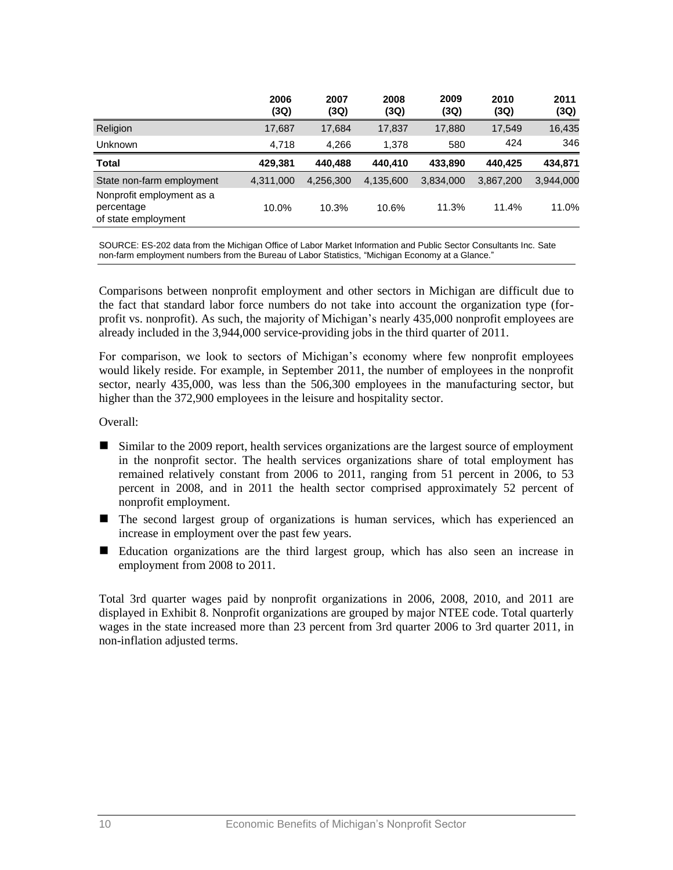|                                                                | 2006<br>(3Q) | 2007<br>(3Q) | 2008<br>(3Q) | 2009<br>(3Q) | 2010<br>(3Q) | 2011<br>(3Q) |
|----------------------------------------------------------------|--------------|--------------|--------------|--------------|--------------|--------------|
| Religion                                                       | 17,687       | 17,684       | 17,837       | 17,880       | 17,549       | 16,435       |
| <b>Unknown</b>                                                 | 4,718        | 4.266        | 1.378        | 580          | 424          | 346          |
| <b>Total</b>                                                   | 429.381      | 440,488      | 440.410      | 433,890      | 440.425      | 434,871      |
| State non-farm employment                                      | 4.311.000    | 4,256,300    | 4,135,600    | 3,834,000    | 3,867,200    | 3,944,000    |
| Nonprofit employment as a<br>percentage<br>of state employment | 10.0%        | 10.3%        | 10.6%        | 11.3%        | 11.4%        | 11.0%        |

SOURCE: ES-202 data from the Michigan Office of Labor Market Information and Public Sector Consultants Inc. Sate non-farm employment numbers from the Bureau of Labor Statistics, "Michigan Economy at a Glance."

Comparisons between nonprofit employment and other sectors in Michigan are difficult due to the fact that standard labor force numbers do not take into account the organization type (forprofit vs. nonprofit). As such, the majority of Michigan's nearly 435,000 nonprofit employees are already included in the 3,944,000 service-providing jobs in the third quarter of 2011.

For comparison, we look to sectors of Michigan's economy where few nonprofit employees would likely reside. For example, in September 2011, the number of employees in the nonprofit sector, nearly 435,000, was less than the 506,300 employees in the manufacturing sector, but higher than the 372,900 employees in the leisure and hospitality sector.

Overall:

- Similar to the 2009 report, health services organizations are the largest source of employment in the nonprofit sector. The health services organizations share of total employment has remained relatively constant from 2006 to 2011, ranging from 51 percent in 2006, to 53 percent in 2008, and in 2011 the health sector comprised approximately 52 percent of nonprofit employment.
- The second largest group of organizations is human services, which has experienced an increase in employment over the past few years.
- Education organizations are the third largest group, which has also seen an increase in employment from 2008 to 2011.

Total 3rd quarter wages paid by nonprofit organizations in 2006, 2008, 2010, and 2011 are displayed in Exhibit 8. Nonprofit organizations are grouped by major NTEE code. Total quarterly wages in the state increased more than 23 percent from 3rd quarter 2006 to 3rd quarter 2011, in non-inflation adjusted terms.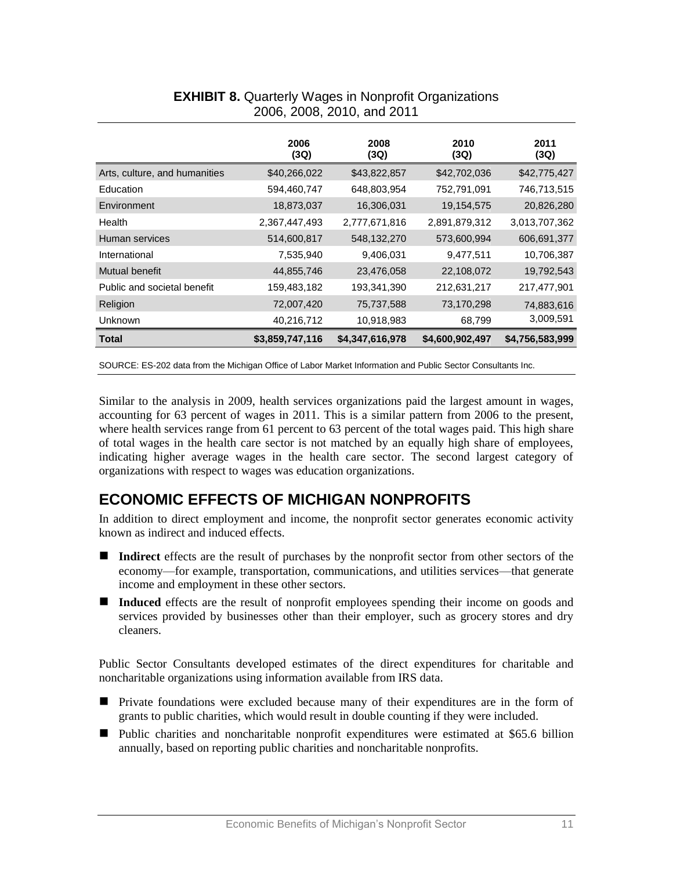|                               | 2006<br>(3Q)    | 2008<br>(3Q)    | 2010<br>(3Q)    | 2011<br>(3Q)    |
|-------------------------------|-----------------|-----------------|-----------------|-----------------|
| Arts, culture, and humanities | \$40,266,022    | \$43,822,857    | \$42,702,036    | \$42,775,427    |
| Education                     | 594,460,747     | 648,803,954     | 752,791,091     | 746,713,515     |
| Environment                   | 18,873,037      | 16,306,031      | 19,154,575      | 20,826,280      |
| Health                        | 2,367,447,493   | 2,777,671,816   | 2,891,879,312   | 3,013,707,362   |
| Human services                | 514,600,817     | 548,132,270     | 573,600,994     | 606,691,377     |
| International                 | 7,535,940       | 9,406,031       | 9,477,511       | 10,706,387      |
| Mutual benefit                | 44,855,746      | 23,476,058      | 22,108,072      | 19,792,543      |
| Public and societal benefit   | 159,483,182     | 193,341,390     | 212,631,217     | 217,477,901     |
| Religion                      | 72,007,420      | 75,737,588      | 73,170,298      | 74,883,616      |
| Unknown                       | 40,216,712      | 10,918,983      | 68,799          | 3,009,591       |
| Total                         | \$3,859,747,116 | \$4,347,616,978 | \$4,600,902,497 | \$4,756,583,999 |

### **EXHIBIT 8.** Quarterly Wages in Nonprofit Organizations 2006, 2008, 2010, and 2011

SOURCE: ES-202 data from the Michigan Office of Labor Market Information and Public Sector Consultants Inc.

Similar to the analysis in 2009, health services organizations paid the largest amount in wages, accounting for 63 percent of wages in 2011. This is a similar pattern from 2006 to the present, where health services range from 61 percent to 63 percent of the total wages paid. This high share of total wages in the health care sector is not matched by an equally high share of employees, indicating higher average wages in the health care sector. The second largest category of organizations with respect to wages was education organizations.

# <span id="page-12-0"></span>**ECONOMIC EFFECTS OF MICHIGAN NONPROFITS**

In addition to direct employment and income, the nonprofit sector generates economic activity known as indirect and induced effects.

- Indirect effects are the result of purchases by the nonprofit sector from other sectors of the economy—for example, transportation, communications, and utilities services—that generate income and employment in these other sectors.
- **Induced** effects are the result of nonprofit employees spending their income on goods and services provided by businesses other than their employer, such as grocery stores and dry cleaners.

Public Sector Consultants developed estimates of the direct expenditures for charitable and noncharitable organizations using information available from IRS data.

- **Private foundations were excluded because many of their expenditures are in the form of** grants to public charities, which would result in double counting if they were included.
- Public charities and noncharitable nonprofit expenditures were estimated at \$65.6 billion annually, based on reporting public charities and noncharitable nonprofits.